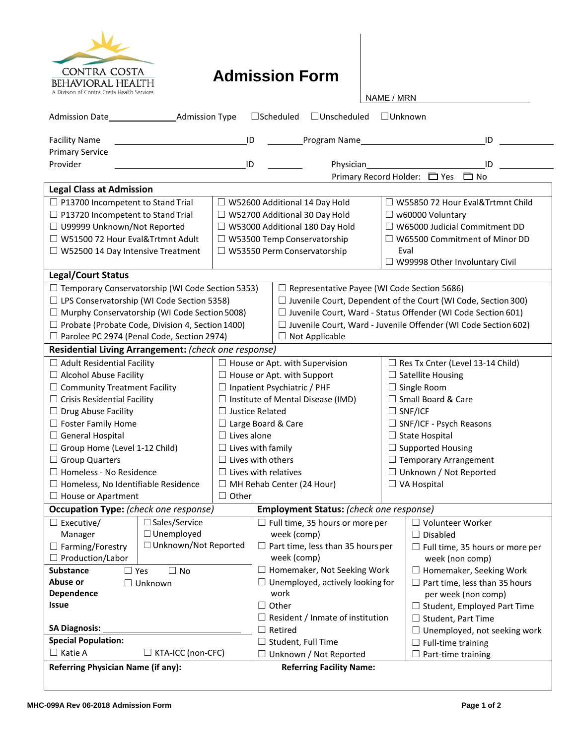

## **Admission Form**

NAME / MRN

| <b>Admission Date</b>                                                                                         | <b>Admission Type</b>  |                                          |                                         | $\Box$ Scheduled<br>$\Box$ Unscheduled                              | $\Box$ Unknown                                                        |                                                                      |  |  |
|---------------------------------------------------------------------------------------------------------------|------------------------|------------------------------------------|-----------------------------------------|---------------------------------------------------------------------|-----------------------------------------------------------------------|----------------------------------------------------------------------|--|--|
| <b>Facility Name</b>                                                                                          | ID                     |                                          |                                         | Program Name                                                        |                                                                       | ID                                                                   |  |  |
| <b>Primary Service</b>                                                                                        |                        |                                          |                                         |                                                                     |                                                                       |                                                                      |  |  |
| Provider                                                                                                      |                        | ID                                       |                                         | Physician                                                           |                                                                       | ID                                                                   |  |  |
|                                                                                                               |                        |                                          |                                         |                                                                     |                                                                       | Primary Record Holder: □ Yes □ No                                    |  |  |
| <b>Legal Class at Admission</b>                                                                               |                        |                                          |                                         |                                                                     |                                                                       |                                                                      |  |  |
| $\Box$ P13700 Incompetent to Stand Trial                                                                      |                        |                                          |                                         | $\Box$ W52600 Additional 14 Day Hold                                |                                                                       | $\Box$ W55850 72 Hour Eval&Trtmnt Child                              |  |  |
| $\Box$ P13720 Incompetent to Stand Trial                                                                      |                        |                                          |                                         | □ W52700 Additional 30 Day Hold                                     | $\Box$ w60000 Voluntary                                               |                                                                      |  |  |
| □ U99999 Unknown/Not Reported                                                                                 |                        |                                          |                                         | □ W53000 Additional 180 Day Hold                                    |                                                                       | $\Box$ W65000 Judicial Commitment DD                                 |  |  |
| □ W51500 72 Hour Eval&Trtmnt Adult                                                                            |                        |                                          |                                         | $\Box$ W53500 Temp Conservatorship                                  |                                                                       | $\Box$ W65500 Commitment of Minor DD                                 |  |  |
| $\Box$ W52500 14 Day Intensive Treatment                                                                      |                        |                                          |                                         | $\Box$ W53550 Perm Conservatorship                                  | Eval                                                                  |                                                                      |  |  |
|                                                                                                               |                        |                                          |                                         |                                                                     | $\Box$ W99998 Other Involuntary Civil                                 |                                                                      |  |  |
| <b>Legal/Court Status</b>                                                                                     |                        |                                          |                                         |                                                                     |                                                                       |                                                                      |  |  |
| $\Box$ Temporary Conservatorship (WI Code Section 5353)<br>$\Box$ Representative Payee (WI Code Section 5686) |                        |                                          |                                         |                                                                     |                                                                       |                                                                      |  |  |
| □ LPS Conservatorship (WI Code Section 5358)                                                                  |                        |                                          |                                         |                                                                     |                                                                       | $\Box$ Juvenile Court, Dependent of the Court (WI Code, Section 300) |  |  |
| □ Murphy Conservatorship (WI Code Section 5008)                                                               |                        |                                          |                                         | $\Box$ Juvenile Court, Ward - Status Offender (WI Code Section 601) |                                                                       |                                                                      |  |  |
| □ Probate (Probate Code, Division 4, Section 1400)                                                            |                        |                                          |                                         |                                                                     | $\Box$ Juvenile Court, Ward - Juvenile Offender (WI Code Section 602) |                                                                      |  |  |
| □ Parolee PC 2974 (Penal Code, Section 2974)                                                                  |                        |                                          | $\Box$ Not Applicable                   |                                                                     |                                                                       |                                                                      |  |  |
| Residential Living Arrangement: (check one response)                                                          |                        |                                          |                                         |                                                                     |                                                                       |                                                                      |  |  |
| $\Box$ Adult Residential Facility                                                                             |                        |                                          | $\Box$ House or Apt. with Supervision   |                                                                     |                                                                       | $\Box$ Res Tx Cnter (Level 13-14 Child)                              |  |  |
| $\Box$ Alcohol Abuse Facility                                                                                 |                        | $\Box$ House or Apt. with Support        |                                         | $\Box$ Satellite Housing                                            |                                                                       |                                                                      |  |  |
| $\Box$ Community Treatment Facility                                                                           |                        | $\Box$ Inpatient Psychiatric / PHF       |                                         |                                                                     | $\Box$ Single Room                                                    |                                                                      |  |  |
| $\Box$ Crisis Residential Facility                                                                            |                        | $\Box$ Institute of Mental Disease (IMD) |                                         |                                                                     | □ Small Board & Care                                                  |                                                                      |  |  |
| $\Box$ Drug Abuse Facility                                                                                    |                        | $\Box$ Justice Related                   |                                         |                                                                     | $\Box$ SNF/ICF                                                        |                                                                      |  |  |
| $\Box$ Foster Family Home                                                                                     |                        | $\Box$ Large Board & Care                |                                         |                                                                     |                                                                       | $\Box$ SNF/ICF - Psych Reasons                                       |  |  |
| General Hospital                                                                                              |                        | $\Box$ Lives alone                       |                                         |                                                                     | $\Box$ State Hospital                                                 |                                                                      |  |  |
| $\Box$ Group Home (Level 1-12 Child)                                                                          |                        | $\Box$ Lives with family                 |                                         | $\Box$ Supported Housing                                            |                                                                       |                                                                      |  |  |
| □ Group Quarters                                                                                              |                        | $\Box$ Lives with others                 |                                         |                                                                     |                                                                       | $\Box$ Temporary Arrangement                                         |  |  |
| □ Homeless - No Residence                                                                                     |                        | $\Box$ Lives with relatives              |                                         |                                                                     | □ Unknown / Not Reported                                              |                                                                      |  |  |
| $\Box$ Homeless, No Identifiable Residence                                                                    |                        |                                          |                                         | $\Box$ MH Rehab Center (24 Hour)                                    |                                                                       | $\Box$ VA Hospital                                                   |  |  |
| $\Box$ House or Apartment                                                                                     |                        | $\Box$ Other                             |                                         |                                                                     |                                                                       |                                                                      |  |  |
| Occupation Type: (check one response)                                                                         |                        |                                          | Employment Status: (check one response) |                                                                     |                                                                       |                                                                      |  |  |
| $\Box$ Executive/                                                                                             | □ Sales/Service        |                                          |                                         | Full time, 35 hours or more per                                     |                                                                       | $\Box$ Volunteer Worker                                              |  |  |
| Manager                                                                                                       | $\Box$ Unemployed      |                                          |                                         | week (comp)                                                         |                                                                       | $\Box$ Disabled                                                      |  |  |
| □ Farming/Forestry                                                                                            | □ Unknown/Not Reported |                                          | Part time, less than 35 hours per       |                                                                     |                                                                       | $\Box$ Full time, 35 hours or more per                               |  |  |
| $\Box$ Production/Labor                                                                                       |                        |                                          | week (comp)                             |                                                                     |                                                                       | week (non comp)                                                      |  |  |
| <b>Substance</b><br>$\Box$ Yes<br>$\Box$ No                                                                   |                        |                                          |                                         | Homemaker, Not Seeking Work                                         |                                                                       | □ Homemaker, Seeking Work                                            |  |  |
| Abuse or<br>$\Box$ Unknown                                                                                    |                        |                                          | Unemployed, actively looking for        |                                                                     |                                                                       | $\Box$ Part time, less than 35 hours                                 |  |  |
| Dependence                                                                                                    |                        |                                          | work                                    |                                                                     |                                                                       | per week (non comp)                                                  |  |  |
| Issue                                                                                                         |                        |                                          | Other                                   |                                                                     |                                                                       | $\Box$ Student, Employed Part Time                                   |  |  |
|                                                                                                               |                        |                                          | Resident / Inmate of institution        |                                                                     |                                                                       | $\Box$ Student, Part Time                                            |  |  |
| <b>SA Diagnosis:</b>                                                                                          |                        |                                          | Retired                                 |                                                                     |                                                                       | $\Box$ Unemployed, not seeking work                                  |  |  |
| <b>Special Population:</b>                                                                                    |                        |                                          | Student, Full Time                      |                                                                     |                                                                       | $\Box$ Full-time training                                            |  |  |
| $\Box$ Katie A<br>□ KTA-ICC (non-CFC)                                                                         |                        |                                          | Unknown / Not Reported                  |                                                                     |                                                                       | $\Box$ Part-time training                                            |  |  |
| <b>Referring Physician Name (if any):</b><br><b>Referring Facility Name:</b>                                  |                        |                                          |                                         |                                                                     |                                                                       |                                                                      |  |  |